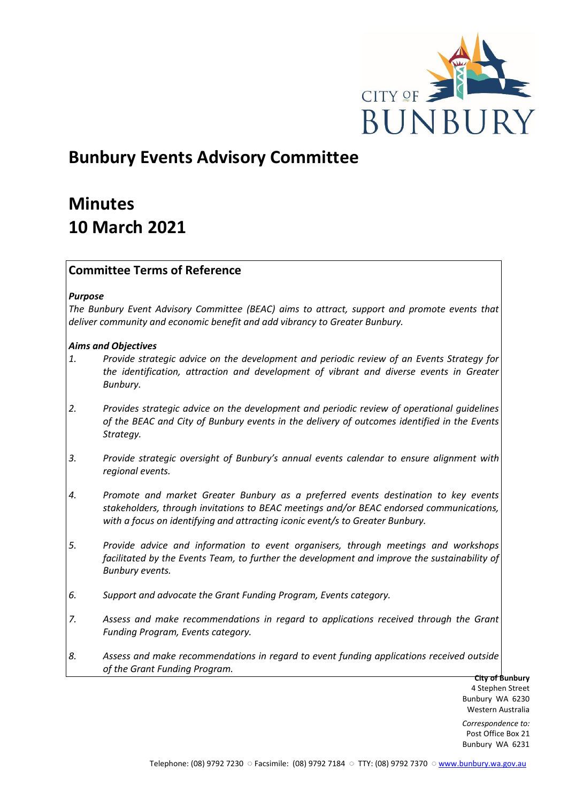

# **Bunbury Events Advisory Committee**

# **Minutes 10 March 2021**

# **Committee Terms of Reference**

## *Purpose*

*The Bunbury Event Advisory Committee (BEAC) aims to attract, support and promote events that deliver community and economic benefit and add vibrancy to Greater Bunbury.*

## *Aims and Objectives*

- *1. Provide strategic advice on the development and periodic review of an Events Strategy for the identification, attraction and development of vibrant and diverse events in Greater Bunbury.*
- *2. Provides strategic advice on the development and periodic review of operational guidelines of the BEAC and City of Bunbury events in the delivery of outcomes identified in the Events Strategy.*
- *3. Provide strategic oversight of Bunbury's annual events calendar to ensure alignment with regional events.*
- *4. Promote and market Greater Bunbury as a preferred events destination to key events stakeholders, through invitations to BEAC meetings and/or BEAC endorsed communications, with a focus on identifying and attracting iconic event/s to Greater Bunbury.*
- *5. Provide advice and information to event organisers, through meetings and workshops*  facilitated by the Events Team, to further the development and improve the sustainability of *Bunbury events.*
- *6. Support and advocate the Grant Funding Program, Events category.*
- *7. Assess and make recommendations in regard to applications received through the Grant Funding Program, Events category.*
- *8. Assess and make recommendations in regard to event funding applications received outside of the Grant Funding Program.*

**City of Bunbury** 4 Stephen Street Bunbury WA 6230 Western Australia

*Correspondence to:* Post Office Box 21 Bunbury WA 6231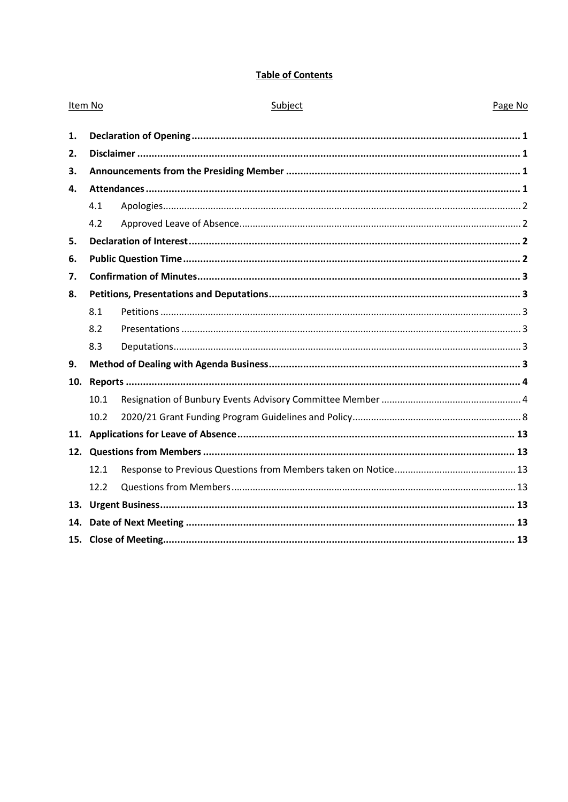# **Table of Contents**

| Item No |      | Subject | Page No |
|---------|------|---------|---------|
| 1.      |      |         |         |
| 2.      |      |         |         |
| 3.      |      |         |         |
| 4.      |      |         |         |
|         | 4.1  |         |         |
|         | 4.2  |         |         |
| 5.      |      |         |         |
| 6.      |      |         |         |
| 7.      |      |         |         |
| 8.      |      |         |         |
|         | 8.1  |         |         |
|         | 8.2  |         |         |
|         | 8.3  |         |         |
| 9.      |      |         |         |
| 10.     |      |         |         |
|         | 10.1 |         |         |
|         | 10.2 |         |         |
| 11.     |      |         |         |
|         |      |         |         |
|         | 12.1 |         |         |
|         | 12.2 |         |         |
|         |      |         |         |
| 14.     |      |         |         |
|         |      |         |         |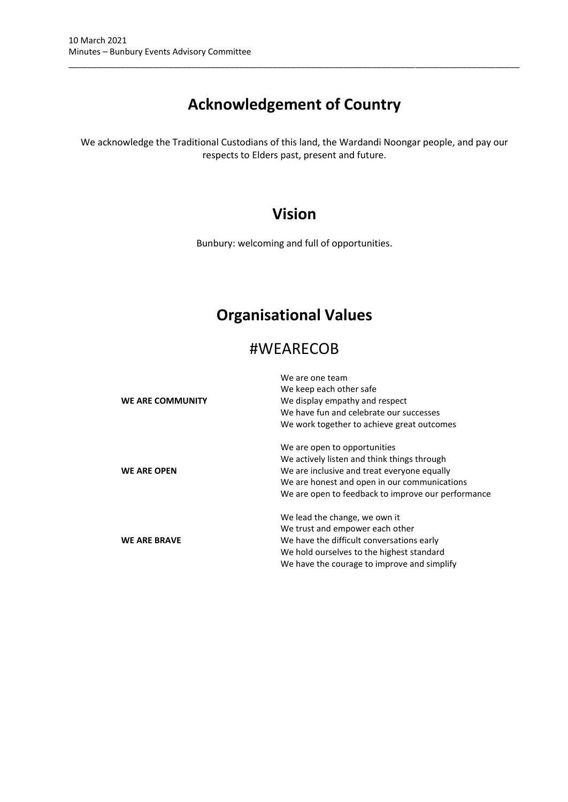# **Acknowledgement of Country**

\_\_\_\_\_\_\_\_\_\_\_\_\_\_\_\_\_\_\_\_\_\_\_\_\_\_\_\_\_\_\_\_\_\_\_\_\_\_\_\_\_\_\_\_\_\_\_\_\_\_\_\_\_\_\_\_\_\_\_\_\_\_\_\_\_\_\_\_\_\_\_\_\_\_\_\_\_\_\_\_\_\_\_\_\_\_\_\_\_\_\_\_\_\_\_

We acknowledge the Traditional Custodians of this land, the Wardandi Noongar people, and pay our respects to Elders past, present and future.

# **Vision**

Bunbury: welcoming and full of opportunities.

# **Organisational Values**

# #WEARECOB

| WE ARE COMMUNITY    | We are one team<br>We keep each other safe<br>We display empathy and respect<br>We have fun and celebrate our successes<br>We work together to achieve great outcomes                                                            |  |  |
|---------------------|----------------------------------------------------------------------------------------------------------------------------------------------------------------------------------------------------------------------------------|--|--|
| <b>WE ARE OPEN</b>  | We are open to opportunities<br>We actively listen and think things through<br>We are inclusive and treat everyone equally<br>We are honest and open in our communications<br>We are open to feedback to improve our performance |  |  |
| <b>WE ARE BRAVE</b> | We lead the change, we own it<br>We trust and empower each other<br>We have the difficult conversations early<br>We hold ourselves to the highest standard<br>We have the courage to improve and simplify                        |  |  |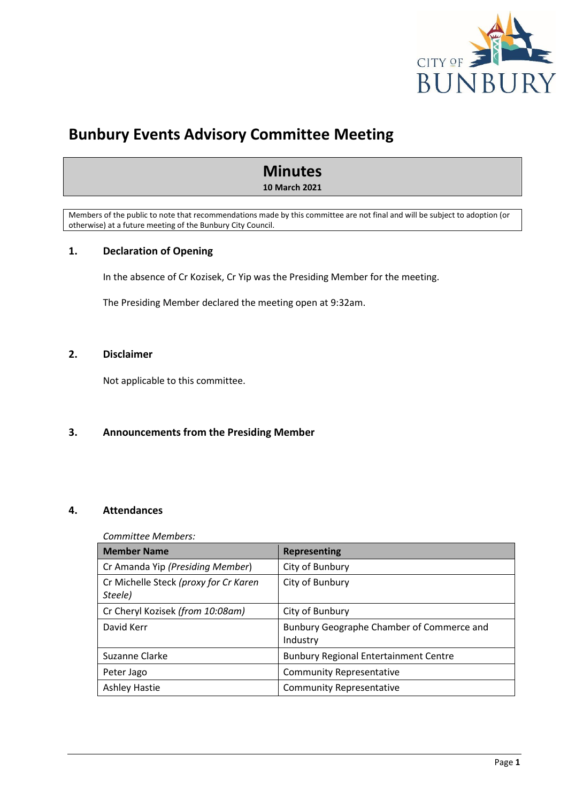

# **Bunbury Events Advisory Committee Meeting**

# **Minutes**

**10 March 2021**

Members of the public to note that recommendations made by this committee are not final and will be subject to adoption (or otherwise) at a future meeting of the Bunbury City Council.

# <span id="page-3-0"></span>**1. Declaration of Opening**

In the absence of Cr Kozisek, Cr Yip was the Presiding Member for the meeting.

The Presiding Member declared the meeting open at 9:32am.

# <span id="page-3-1"></span>**2. Disclaimer**

Not applicable to this committee.

# <span id="page-3-2"></span>**3. Announcements from the Presiding Member**

# <span id="page-3-3"></span>**4. Attendances**

## *Committee Members:*

| <b>Member Name</b>                               | Representing                                          |
|--------------------------------------------------|-------------------------------------------------------|
| Cr Amanda Yip (Presiding Member)                 | City of Bunbury                                       |
| Cr Michelle Steck (proxy for Cr Karen<br>Steele) | City of Bunbury                                       |
| Cr Cheryl Kozisek (from 10:08am)                 | City of Bunbury                                       |
| David Kerr                                       | Bunbury Geographe Chamber of Commerce and<br>Industry |
| Suzanne Clarke                                   | <b>Bunbury Regional Entertainment Centre</b>          |
| Peter Jago                                       | <b>Community Representative</b>                       |
| <b>Ashley Hastie</b>                             | <b>Community Representative</b>                       |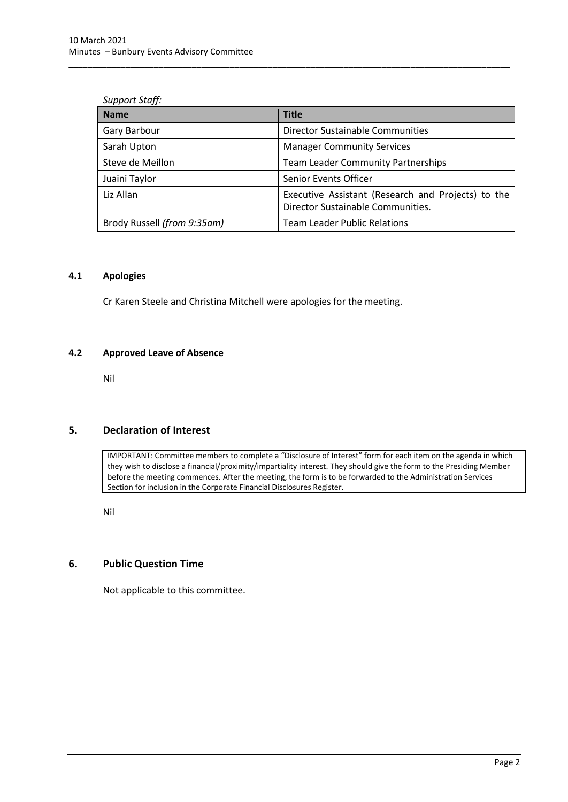### *Support Staff:*

| <b>Name</b>                 | <b>Title</b>                                                                            |
|-----------------------------|-----------------------------------------------------------------------------------------|
| Gary Barbour                | Director Sustainable Communities                                                        |
| Sarah Upton                 | <b>Manager Community Services</b>                                                       |
| Steve de Meillon            | <b>Team Leader Community Partnerships</b>                                               |
| Juaini Taylor               | Senior Events Officer                                                                   |
| Liz Allan                   | Executive Assistant (Research and Projects) to the<br>Director Sustainable Communities. |
| Brody Russell (from 9:35am) | <b>Team Leader Public Relations</b>                                                     |

\_\_\_\_\_\_\_\_\_\_\_\_\_\_\_\_\_\_\_\_\_\_\_\_\_\_\_\_\_\_\_\_\_\_\_\_\_\_\_\_\_\_\_\_\_\_\_\_\_\_\_\_\_\_\_\_\_\_\_\_\_\_\_\_\_\_\_\_\_\_\_\_\_\_\_\_\_\_\_\_\_\_\_\_\_\_\_\_\_\_\_\_\_

## <span id="page-4-0"></span>**4.1 Apologies**

Cr Karen Steele and Christina Mitchell were apologies for the meeting.

### <span id="page-4-1"></span>**4.2 Approved Leave of Absence**

Nil

# <span id="page-4-2"></span>**5. Declaration of Interest**

IMPORTANT: Committee members to complete a "Disclosure of Interest" form for each item on the agenda in which they wish to disclose a financial/proximity/impartiality interest. They should give the form to the Presiding Member before the meeting commences. After the meeting, the form is to be forwarded to the Administration Services Section for inclusion in the Corporate Financial Disclosures Register.

Nil

# <span id="page-4-3"></span>**6. Public Question Time**

Not applicable to this committee.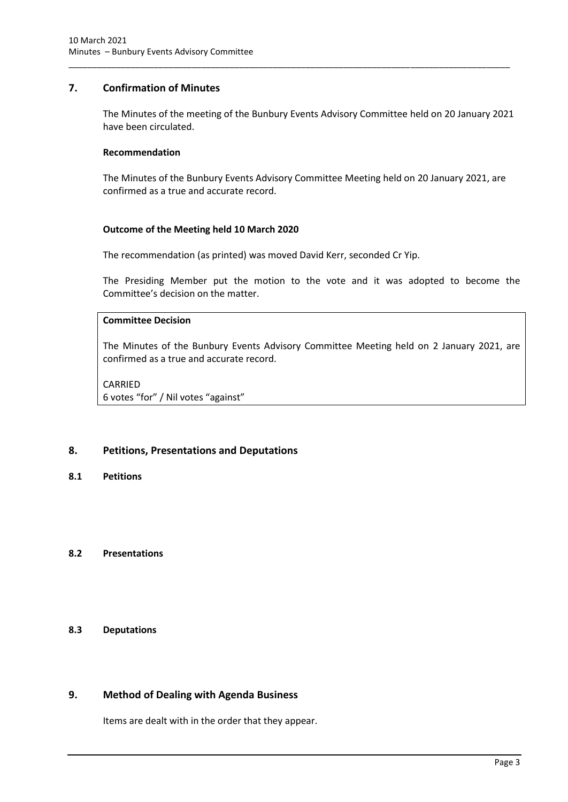## <span id="page-5-0"></span>**7. Confirmation of Minutes**

The Minutes of the meeting of the Bunbury Events Advisory Committee held on 20 January 2021 have been circulated.

\_\_\_\_\_\_\_\_\_\_\_\_\_\_\_\_\_\_\_\_\_\_\_\_\_\_\_\_\_\_\_\_\_\_\_\_\_\_\_\_\_\_\_\_\_\_\_\_\_\_\_\_\_\_\_\_\_\_\_\_\_\_\_\_\_\_\_\_\_\_\_\_\_\_\_\_\_\_\_\_\_\_\_\_\_\_\_\_\_\_\_\_\_

### **Recommendation**

The Minutes of the Bunbury Events Advisory Committee Meeting held on 20 January 2021, are confirmed as a true and accurate record.

## **Outcome of the Meeting held 10 March 2020**

The recommendation (as printed) was moved David Kerr, seconded Cr Yip.

The Presiding Member put the motion to the vote and it was adopted to become the Committee's decision on the matter.

# **Committee Decision**

The Minutes of the Bunbury Events Advisory Committee Meeting held on 2 January 2021, are confirmed as a true and accurate record.

### CARRIED 6 votes "for" / Nil votes "against"

## <span id="page-5-1"></span>**8. Petitions, Presentations and Deputations**

<span id="page-5-2"></span>**8.1 Petitions**

## <span id="page-5-3"></span>**8.2 Presentations**

## <span id="page-5-4"></span>**8.3 Deputations**

# <span id="page-5-5"></span>**9. Method of Dealing with Agenda Business**

Items are dealt with in the order that they appear.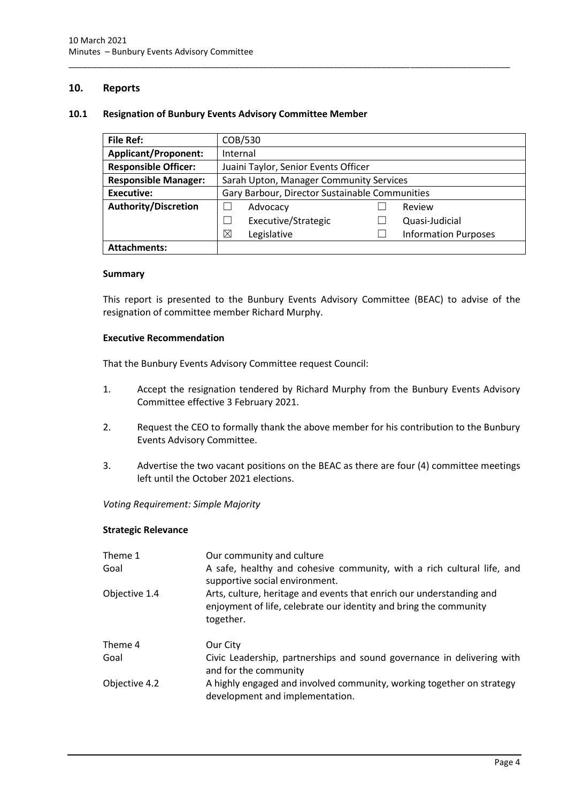## <span id="page-6-0"></span>**10. Reports**

### <span id="page-6-1"></span>**10.1 Resignation of Bunbury Events Advisory Committee Member**

| <b>File Ref:</b>            | COB/530                                        |  |                             |  |
|-----------------------------|------------------------------------------------|--|-----------------------------|--|
| <b>Applicant/Proponent:</b> | Internal                                       |  |                             |  |
| <b>Responsible Officer:</b> | Juaini Taylor, Senior Events Officer           |  |                             |  |
| <b>Responsible Manager:</b> | Sarah Upton, Manager Community Services        |  |                             |  |
| <b>Executive:</b>           | Gary Barbour, Director Sustainable Communities |  |                             |  |
| <b>Authority/Discretion</b> | Advocacy                                       |  | Review                      |  |
|                             | Executive/Strategic                            |  | Quasi-Judicial              |  |
|                             | ⊠<br>Legislative                               |  | <b>Information Purposes</b> |  |
| <b>Attachments:</b>         |                                                |  |                             |  |

\_\_\_\_\_\_\_\_\_\_\_\_\_\_\_\_\_\_\_\_\_\_\_\_\_\_\_\_\_\_\_\_\_\_\_\_\_\_\_\_\_\_\_\_\_\_\_\_\_\_\_\_\_\_\_\_\_\_\_\_\_\_\_\_\_\_\_\_\_\_\_\_\_\_\_\_\_\_\_\_\_\_\_\_\_\_\_\_\_\_\_\_\_

### **Summary**

This report is presented to the Bunbury Events Advisory Committee (BEAC) to advise of the resignation of committee member Richard Murphy.

### **Executive Recommendation**

That the Bunbury Events Advisory Committee request Council:

- 1. Accept the resignation tendered by Richard Murphy from the Bunbury Events Advisory Committee effective 3 February 2021.
- 2. Request the CEO to formally thank the above member for his contribution to the Bunbury Events Advisory Committee.
- 3. Advertise the two vacant positions on the BEAC as there are four (4) committee meetings left until the October 2021 elections.

*Voting Requirement: Simple Majority* 

#### **Strategic Relevance**

| Theme 1<br>Goal | Our community and culture<br>A safe, healthy and cohesive community, with a rich cultural life, and<br>supportive social environment.                  |
|-----------------|--------------------------------------------------------------------------------------------------------------------------------------------------------|
| Objective 1.4   | Arts, culture, heritage and events that enrich our understanding and<br>enjoyment of life, celebrate our identity and bring the community<br>together. |
| Theme 4         | Our City                                                                                                                                               |
| Goal            | Civic Leadership, partnerships and sound governance in delivering with<br>and for the community                                                        |
| Objective 4.2   | A highly engaged and involved community, working together on strategy<br>development and implementation.                                               |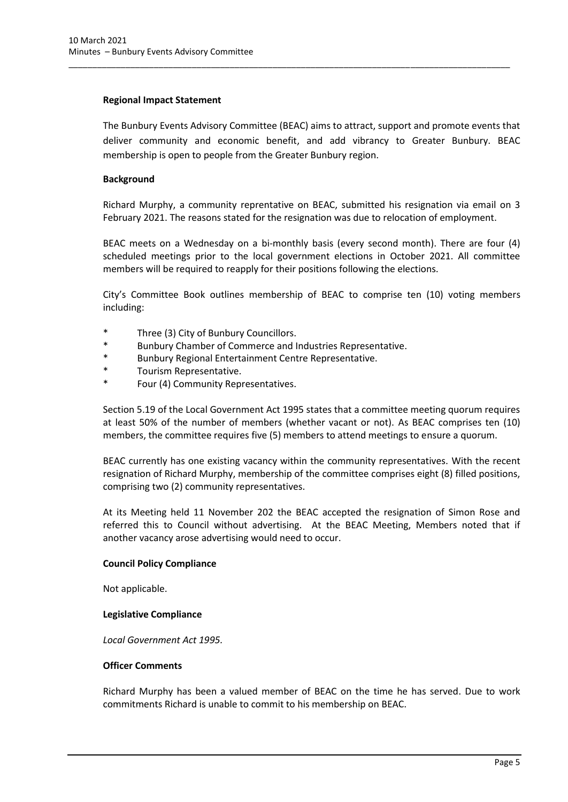## **Regional Impact Statement**

The Bunbury Events Advisory Committee (BEAC) aims to attract, support and promote events that deliver community and economic benefit, and add vibrancy to Greater Bunbury. BEAC membership is open to people from the Greater Bunbury region.

\_\_\_\_\_\_\_\_\_\_\_\_\_\_\_\_\_\_\_\_\_\_\_\_\_\_\_\_\_\_\_\_\_\_\_\_\_\_\_\_\_\_\_\_\_\_\_\_\_\_\_\_\_\_\_\_\_\_\_\_\_\_\_\_\_\_\_\_\_\_\_\_\_\_\_\_\_\_\_\_\_\_\_\_\_\_\_\_\_\_\_\_\_

# **Background**

Richard Murphy, a community reprentative on BEAC, submitted his resignation via email on 3 February 2021. The reasons stated for the resignation was due to relocation of employment.

BEAC meets on a Wednesday on a bi-monthly basis (every second month). There are four (4) scheduled meetings prior to the local government elections in October 2021. All committee members will be required to reapply for their positions following the elections.

City's Committee Book outlines membership of BEAC to comprise ten (10) voting members including:

- \* Three (3) City of Bunbury Councillors.
- \* Bunbury Chamber of Commerce and Industries Representative.
- \* Bunbury Regional Entertainment Centre Representative.
- \* Tourism Representative.
- Four (4) Community Representatives.

Section 5.19 of the Local Government Act 1995 states that a committee meeting quorum requires at least 50% of the number of members (whether vacant or not). As BEAC comprises ten (10) members, the committee requires five (5) members to attend meetings to ensure a quorum.

BEAC currently has one existing vacancy within the community representatives. With the recent resignation of Richard Murphy, membership of the committee comprises eight (8) filled positions, comprising two (2) community representatives.

At its Meeting held 11 November 202 the BEAC accepted the resignation of Simon Rose and referred this to Council without advertising. At the BEAC Meeting, Members noted that if another vacancy arose advertising would need to occur.

## **Council Policy Compliance**

Not applicable.

## **Legislative Compliance**

*Local Government Act 1995.*

## **Officer Comments**

Richard Murphy has been a valued member of BEAC on the time he has served. Due to work commitments Richard is unable to commit to his membership on BEAC.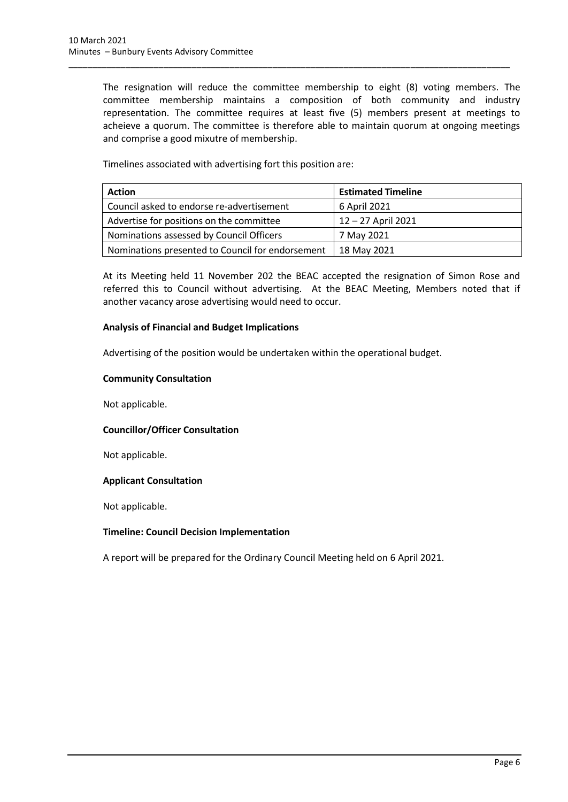The resignation will reduce the committee membership to eight (8) voting members. The committee membership maintains a composition of both community and industry representation. The committee requires at least five (5) members present at meetings to acheieve a quorum. The committee is therefore able to maintain quorum at ongoing meetings and comprise a good mixutre of membership.

\_\_\_\_\_\_\_\_\_\_\_\_\_\_\_\_\_\_\_\_\_\_\_\_\_\_\_\_\_\_\_\_\_\_\_\_\_\_\_\_\_\_\_\_\_\_\_\_\_\_\_\_\_\_\_\_\_\_\_\_\_\_\_\_\_\_\_\_\_\_\_\_\_\_\_\_\_\_\_\_\_\_\_\_\_\_\_\_\_\_\_\_\_

Timelines associated with advertising fort this position are:

| <b>Action</b>                                    | <b>Estimated Timeline</b> |
|--------------------------------------------------|---------------------------|
| Council asked to endorse re-advertisement        | 6 April 2021              |
| Advertise for positions on the committee         | 12-27 April 2021          |
| Nominations assessed by Council Officers         | 7 May 2021                |
| Nominations presented to Council for endorsement | 18 May 2021               |

At its Meeting held 11 November 202 the BEAC accepted the resignation of Simon Rose and referred this to Council without advertising. At the BEAC Meeting, Members noted that if another vacancy arose advertising would need to occur.

## **Analysis of Financial and Budget Implications**

Advertising of the position would be undertaken within the operational budget.

## **Community Consultation**

Not applicable.

# **Councillor/Officer Consultation**

Not applicable.

## **Applicant Consultation**

Not applicable.

## **Timeline: Council Decision Implementation**

A report will be prepared for the Ordinary Council Meeting held on 6 April 2021.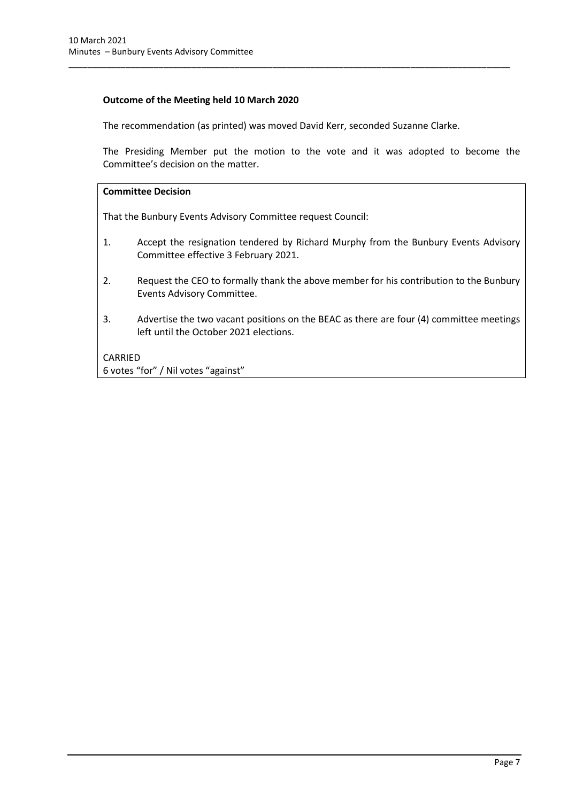## **Outcome of the Meeting held 10 March 2020**

The recommendation (as printed) was moved David Kerr, seconded Suzanne Clarke.

\_\_\_\_\_\_\_\_\_\_\_\_\_\_\_\_\_\_\_\_\_\_\_\_\_\_\_\_\_\_\_\_\_\_\_\_\_\_\_\_\_\_\_\_\_\_\_\_\_\_\_\_\_\_\_\_\_\_\_\_\_\_\_\_\_\_\_\_\_\_\_\_\_\_\_\_\_\_\_\_\_\_\_\_\_\_\_\_\_\_\_\_\_

The Presiding Member put the motion to the vote and it was adopted to become the Committee's decision on the matter.

## **Committee Decision**

That the Bunbury Events Advisory Committee request Council:

- 1. Accept the resignation tendered by Richard Murphy from the Bunbury Events Advisory Committee effective 3 February 2021.
- 2. Request the CEO to formally thank the above member for his contribution to the Bunbury Events Advisory Committee.
- 3. Advertise the two vacant positions on the BEAC as there are four (4) committee meetings left until the October 2021 elections.

## CARRIED

6 votes "for" / Nil votes "against"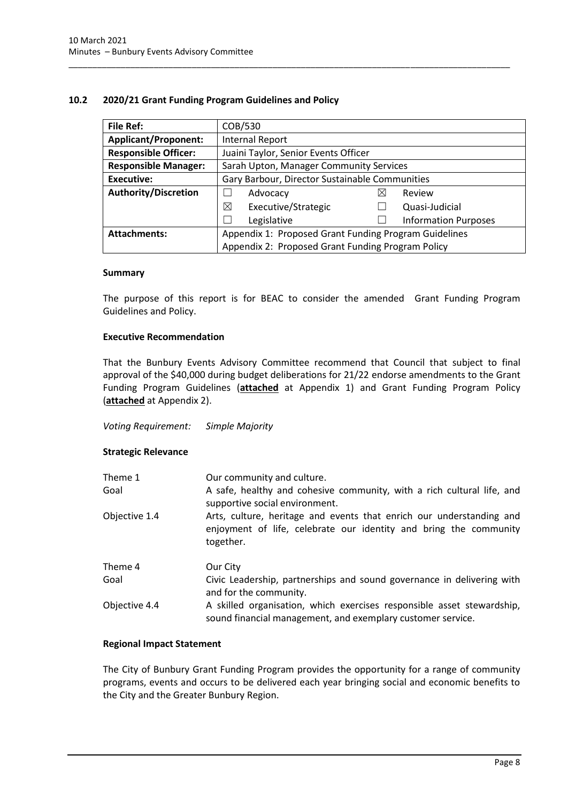## <span id="page-10-0"></span>**10.2 2020/21 Grant Funding Program Guidelines and Policy**

| File Ref:                   | COB/530                                               |   |                             |
|-----------------------------|-------------------------------------------------------|---|-----------------------------|
| <b>Applicant/Proponent:</b> | <b>Internal Report</b>                                |   |                             |
| <b>Responsible Officer:</b> | Juaini Taylor, Senior Events Officer                  |   |                             |
| <b>Responsible Manager:</b> | Sarah Upton, Manager Community Services               |   |                             |
| <b>Executive:</b>           | Gary Barbour, Director Sustainable Communities        |   |                             |
| <b>Authority/Discretion</b> | Advocacy                                              | ⋉ | Review                      |
|                             | ⊠<br>Executive/Strategic                              |   | Quasi-Judicial              |
|                             | Legislative                                           |   | <b>Information Purposes</b> |
| <b>Attachments:</b>         | Appendix 1: Proposed Grant Funding Program Guidelines |   |                             |
|                             | Appendix 2: Proposed Grant Funding Program Policy     |   |                             |

\_\_\_\_\_\_\_\_\_\_\_\_\_\_\_\_\_\_\_\_\_\_\_\_\_\_\_\_\_\_\_\_\_\_\_\_\_\_\_\_\_\_\_\_\_\_\_\_\_\_\_\_\_\_\_\_\_\_\_\_\_\_\_\_\_\_\_\_\_\_\_\_\_\_\_\_\_\_\_\_\_\_\_\_\_\_\_\_\_\_\_\_\_

## **Summary**

The purpose of this report is for BEAC to consider the amended Grant Funding Program Guidelines and Policy.

## **Executive Recommendation**

That the Bunbury Events Advisory Committee recommend that Council that subject to final approval of the \$40,000 during budget deliberations for 21/22 endorse amendments to the Grant Funding Program Guidelines (**attached** at Appendix 1) and Grant Funding Program Policy (**attached** at Appendix 2).

## *Voting Requirement: Simple Majority*

## **Strategic Relevance**

| Theme 1<br>Goal | Our community and culture.<br>A safe, healthy and cohesive community, with a rich cultural life, and<br>supportive social environment.                 |  |
|-----------------|--------------------------------------------------------------------------------------------------------------------------------------------------------|--|
| Objective 1.4   | Arts, culture, heritage and events that enrich our understanding and<br>enjoyment of life, celebrate our identity and bring the community<br>together. |  |
| Theme 4         | Our City                                                                                                                                               |  |
| Goal            | Civic Leadership, partnerships and sound governance in delivering with<br>and for the community.                                                       |  |
| Objective 4.4   | A skilled organisation, which exercises responsible asset stewardship,<br>sound financial management, and exemplary customer service.                  |  |

## **Regional Impact Statement**

The City of Bunbury Grant Funding Program provides the opportunity for a range of community programs, events and occurs to be delivered each year bringing social and economic benefits to the City and the Greater Bunbury Region.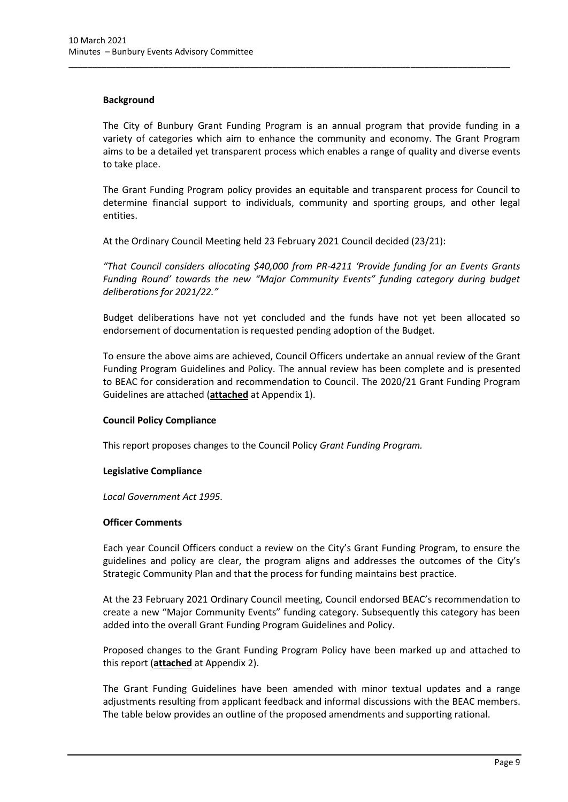## **Background**

The City of Bunbury Grant Funding Program is an annual program that provide funding in a variety of categories which aim to enhance the community and economy. The Grant Program aims to be a detailed yet transparent process which enables a range of quality and diverse events to take place.

\_\_\_\_\_\_\_\_\_\_\_\_\_\_\_\_\_\_\_\_\_\_\_\_\_\_\_\_\_\_\_\_\_\_\_\_\_\_\_\_\_\_\_\_\_\_\_\_\_\_\_\_\_\_\_\_\_\_\_\_\_\_\_\_\_\_\_\_\_\_\_\_\_\_\_\_\_\_\_\_\_\_\_\_\_\_\_\_\_\_\_\_\_

The Grant Funding Program policy provides an equitable and transparent process for Council to determine financial support to individuals, community and sporting groups, and other legal entities.

At the Ordinary Council Meeting held 23 February 2021 Council decided (23/21):

*"That Council considers allocating \$40,000 from PR-4211 'Provide funding for an Events Grants Funding Round' towards the new "Major Community Events" funding category during budget deliberations for 2021/22."*

Budget deliberations have not yet concluded and the funds have not yet been allocated so endorsement of documentation is requested pending adoption of the Budget.

To ensure the above aims are achieved, Council Officers undertake an annual review of the Grant Funding Program Guidelines and Policy. The annual review has been complete and is presented to BEAC for consideration and recommendation to Council. The 2020/21 Grant Funding Program Guidelines are attached (**attached** at Appendix 1).

## **Council Policy Compliance**

This report proposes changes to the Council Policy *Grant Funding Program.*

## **Legislative Compliance**

*Local Government Act 1995.*

## **Officer Comments**

Each year Council Officers conduct a review on the City's Grant Funding Program, to ensure the guidelines and policy are clear, the program aligns and addresses the outcomes of the City's Strategic Community Plan and that the process for funding maintains best practice.

At the 23 February 2021 Ordinary Council meeting, Council endorsed BEAC's recommendation to create a new "Major Community Events" funding category. Subsequently this category has been added into the overall Grant Funding Program Guidelines and Policy.

Proposed changes to the Grant Funding Program Policy have been marked up and attached to this report (**attached** at Appendix 2).

The Grant Funding Guidelines have been amended with minor textual updates and a range adjustments resulting from applicant feedback and informal discussions with the BEAC members. The table below provides an outline of the proposed amendments and supporting rational.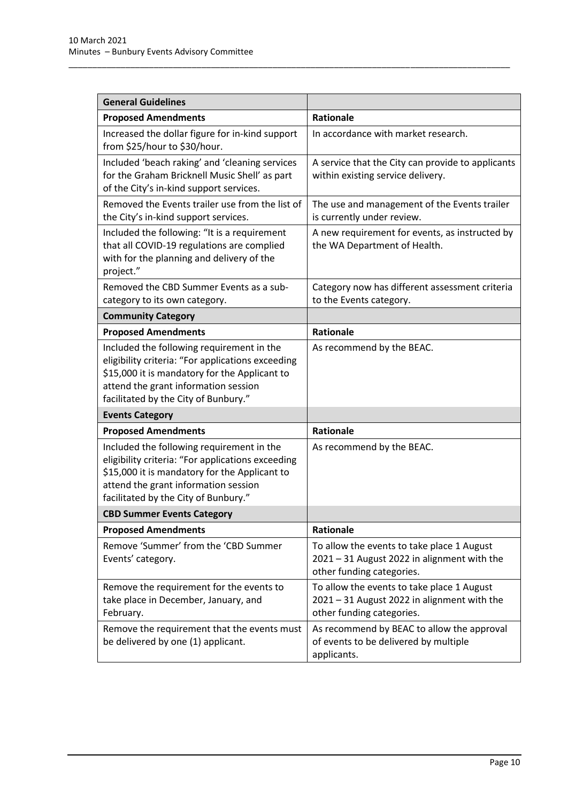| <b>General Guidelines</b>                                                                                                                                                                                                       |                                                                                                                        |  |
|---------------------------------------------------------------------------------------------------------------------------------------------------------------------------------------------------------------------------------|------------------------------------------------------------------------------------------------------------------------|--|
| <b>Proposed Amendments</b>                                                                                                                                                                                                      | <b>Rationale</b>                                                                                                       |  |
| Increased the dollar figure for in-kind support<br>from \$25/hour to \$30/hour.                                                                                                                                                 | In accordance with market research.                                                                                    |  |
| Included 'beach raking' and 'cleaning services<br>for the Graham Bricknell Music Shell' as part<br>of the City's in-kind support services.                                                                                      | A service that the City can provide to applicants<br>within existing service delivery.                                 |  |
| Removed the Events trailer use from the list of<br>the City's in-kind support services.                                                                                                                                         | The use and management of the Events trailer<br>is currently under review.                                             |  |
| Included the following: "It is a requirement<br>that all COVID-19 regulations are complied<br>with for the planning and delivery of the<br>project."                                                                            | A new requirement for events, as instructed by<br>the WA Department of Health.                                         |  |
| Removed the CBD Summer Events as a sub-<br>category to its own category.                                                                                                                                                        | Category now has different assessment criteria<br>to the Events category.                                              |  |
| <b>Community Category</b>                                                                                                                                                                                                       |                                                                                                                        |  |
| <b>Proposed Amendments</b>                                                                                                                                                                                                      | <b>Rationale</b>                                                                                                       |  |
| Included the following requirement in the<br>eligibility criteria: "For applications exceeding<br>\$15,000 it is mandatory for the Applicant to<br>attend the grant information session<br>facilitated by the City of Bunbury." | As recommend by the BEAC.                                                                                              |  |
| <b>Events Category</b>                                                                                                                                                                                                          |                                                                                                                        |  |
| <b>Proposed Amendments</b>                                                                                                                                                                                                      | <b>Rationale</b>                                                                                                       |  |
| Included the following requirement in the<br>eligibility criteria: "For applications exceeding<br>\$15,000 it is mandatory for the Applicant to<br>attend the grant information session<br>facilitated by the City of Bunbury." | As recommend by the BEAC.                                                                                              |  |
| <b>CBD Summer Events Category</b>                                                                                                                                                                                               |                                                                                                                        |  |
| <b>Proposed Amendments</b>                                                                                                                                                                                                      | Rationale                                                                                                              |  |
| Remove 'Summer' from the 'CBD Summer<br>Events' category.                                                                                                                                                                       | To allow the events to take place 1 August<br>2021 - 31 August 2022 in alignment with the<br>other funding categories. |  |
| Remove the requirement for the events to<br>take place in December, January, and<br>February.                                                                                                                                   | To allow the events to take place 1 August<br>2021 - 31 August 2022 in alignment with the<br>other funding categories. |  |
| Remove the requirement that the events must<br>be delivered by one (1) applicant.                                                                                                                                               | As recommend by BEAC to allow the approval<br>of events to be delivered by multiple<br>applicants.                     |  |

\_\_\_\_\_\_\_\_\_\_\_\_\_\_\_\_\_\_\_\_\_\_\_\_\_\_\_\_\_\_\_\_\_\_\_\_\_\_\_\_\_\_\_\_\_\_\_\_\_\_\_\_\_\_\_\_\_\_\_\_\_\_\_\_\_\_\_\_\_\_\_\_\_\_\_\_\_\_\_\_\_\_\_\_\_\_\_\_\_\_\_\_\_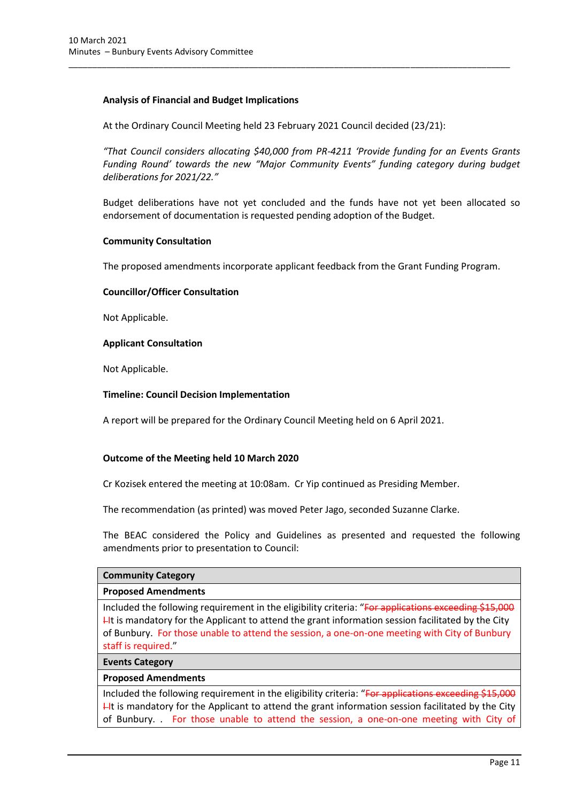## **Analysis of Financial and Budget Implications**

At the Ordinary Council Meeting held 23 February 2021 Council decided (23/21):

\_\_\_\_\_\_\_\_\_\_\_\_\_\_\_\_\_\_\_\_\_\_\_\_\_\_\_\_\_\_\_\_\_\_\_\_\_\_\_\_\_\_\_\_\_\_\_\_\_\_\_\_\_\_\_\_\_\_\_\_\_\_\_\_\_\_\_\_\_\_\_\_\_\_\_\_\_\_\_\_\_\_\_\_\_\_\_\_\_\_\_\_\_

*"That Council considers allocating \$40,000 from PR-4211 'Provide funding for an Events Grants Funding Round' towards the new "Major Community Events" funding category during budget deliberations for 2021/22."*

Budget deliberations have not yet concluded and the funds have not yet been allocated so endorsement of documentation is requested pending adoption of the Budget.

## **Community Consultation**

The proposed amendments incorporate applicant feedback from the Grant Funding Program.

### **Councillor/Officer Consultation**

Not Applicable.

### **Applicant Consultation**

Not Applicable.

### **Timeline: Council Decision Implementation**

A report will be prepared for the Ordinary Council Meeting held on 6 April 2021.

## **Outcome of the Meeting held 10 March 2020**

Cr Kozisek entered the meeting at 10:08am. Cr Yip continued as Presiding Member.

The recommendation (as printed) was moved Peter Jago, seconded Suzanne Clarke.

The BEAC considered the Policy and Guidelines as presented and requested the following amendments prior to presentation to Council:

#### **Community Category**

### **Proposed Amendments**

Included the following requirement in the eligibility criteria: "For applications exceeding \$15,000  $H$ t is mandatory for the Applicant to attend the grant information session facilitated by the City of Bunbury. For those unable to attend the session, a one-on-one meeting with City of Bunbury staff is required."

#### **Events Category**

#### **Proposed Amendments**

Included the following requirement in the eligibility criteria: "For applications exceeding \$15,000  $H$  It is mandatory for the Applicant to attend the grant information session facilitated by the City of Bunbury. . For those unable to attend the session, a one-on-one meeting with City of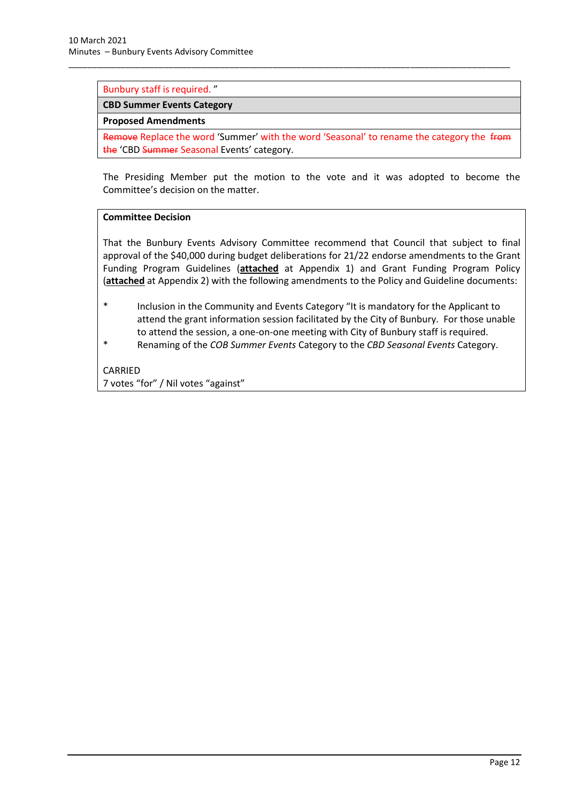## Bunbury staff is required. "

### **CBD Summer Events Category**

#### **Proposed Amendments**

Remove Replace the word 'Summer' with the word 'Seasonal' to rename the category the from the 'CBD Summer Seasonal Events' category.

\_\_\_\_\_\_\_\_\_\_\_\_\_\_\_\_\_\_\_\_\_\_\_\_\_\_\_\_\_\_\_\_\_\_\_\_\_\_\_\_\_\_\_\_\_\_\_\_\_\_\_\_\_\_\_\_\_\_\_\_\_\_\_\_\_\_\_\_\_\_\_\_\_\_\_\_\_\_\_\_\_\_\_\_\_\_\_\_\_\_\_\_\_

The Presiding Member put the motion to the vote and it was adopted to become the Committee's decision on the matter.

## **Committee Decision**

That the Bunbury Events Advisory Committee recommend that Council that subject to final approval of the \$40,000 during budget deliberations for 21/22 endorse amendments to the Grant Funding Program Guidelines (**attached** at Appendix 1) and Grant Funding Program Policy (**attached** at Appendix 2) with the following amendments to the Policy and Guideline documents:

- \* Inclusion in the Community and Events Category "It is mandatory for the Applicant to attend the grant information session facilitated by the City of Bunbury. For those unable to attend the session, a one-on-one meeting with City of Bunbury staff is required.
- \* Renaming of the *COB Summer Events* Category to the *CBD Seasonal Events* Category.

CARRIED 7 votes "for" / Nil votes "against"